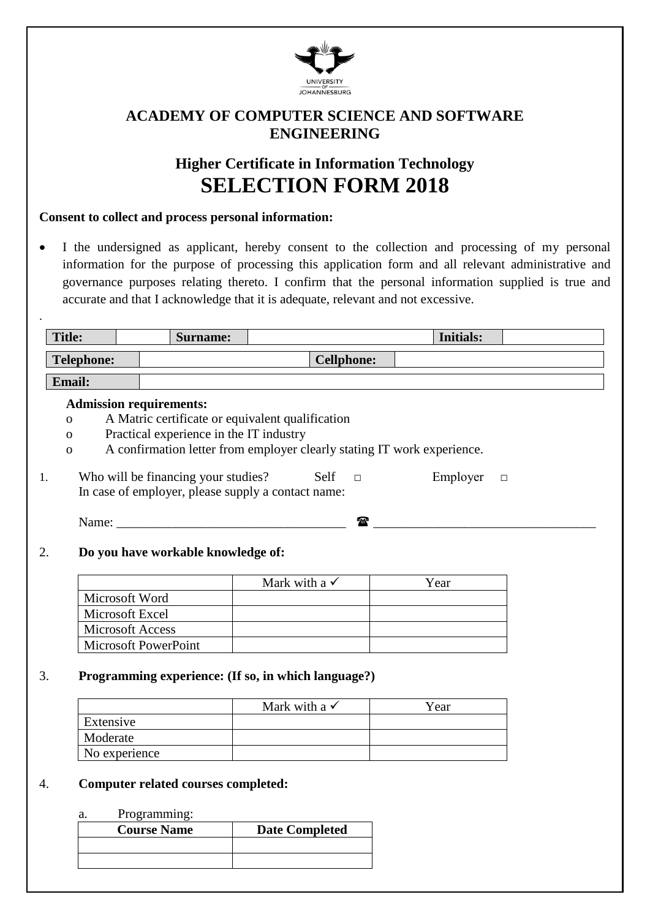

## **ACADEMY OF COMPUTER SCIENCE AND SOFTWARE ENGINEERING**

# **Higher Certificate in Information Technology SELECTION FORM 2018**

#### **Consent to collect and process personal information:**

• I the undersigned as applicant, hereby consent to the collection and processing of my personal information for the purpose of processing this application form and all relevant administrative and governance purposes relating thereto. I confirm that the personal information supplied is true and accurate and that I acknowledge that it is adequate, relevant and not excessive.

| <b>Title:</b>  |                         | <b>Surname:</b>                                    |                                                                         |  | <b>Initials:</b> |        |
|----------------|-------------------------|----------------------------------------------------|-------------------------------------------------------------------------|--|------------------|--------|
|                | <b>Telephone:</b>       |                                                    | <b>Cellphone:</b>                                                       |  |                  |        |
| Email:         |                         |                                                    |                                                                         |  |                  |        |
|                |                         | <b>Admission requirements:</b>                     |                                                                         |  |                  |        |
| $\overline{O}$ |                         | A Matric certificate or equivalent qualification   |                                                                         |  |                  |        |
| $\Omega$       |                         | Practical experience in the IT industry            |                                                                         |  |                  |        |
| $\overline{O}$ |                         |                                                    | A confirmation letter from employer clearly stating IT work experience. |  |                  |        |
|                |                         |                                                    |                                                                         |  |                  |        |
| 1.             |                         | Who will be financing your studies? Self           | $\overline{\phantom{a}}$                                                |  | Employer         | $\Box$ |
|                |                         | In case of employer, please supply a contact name: |                                                                         |  |                  |        |
|                |                         |                                                    |                                                                         |  |                  |        |
|                |                         | Name: Name:                                        | $\mathbf{r}$                                                            |  |                  |        |
|                |                         |                                                    |                                                                         |  |                  |        |
| 2.             |                         | Do you have workable knowledge of:                 |                                                                         |  |                  |        |
|                |                         |                                                    |                                                                         |  |                  |        |
|                |                         |                                                    | Mark with a $\checkmark$                                                |  | Year             |        |
|                | Microsoft Word          |                                                    |                                                                         |  |                  |        |
|                | Microsoft Excel         |                                                    |                                                                         |  |                  |        |
|                | <b>Microsoft Access</b> |                                                    |                                                                         |  |                  |        |
|                |                         | Microsoft PowerPoint                               |                                                                         |  |                  |        |
|                |                         |                                                    |                                                                         |  |                  |        |
| 3.             |                         |                                                    | Programming experience: (If so, in which language?)                     |  |                  |        |
|                |                         |                                                    |                                                                         |  |                  |        |
|                |                         |                                                    | Mark with a $\checkmark$                                                |  | Year             |        |
|                | Extensive               |                                                    |                                                                         |  |                  |        |
|                | Moderate                |                                                    |                                                                         |  |                  |        |

#### 4. **Computer related courses completed:**

#### a. Programming:

No experience

| <b>Course Name</b> | <b>Date Completed</b> |  |  |  |
|--------------------|-----------------------|--|--|--|
|                    |                       |  |  |  |
|                    |                       |  |  |  |
|                    |                       |  |  |  |